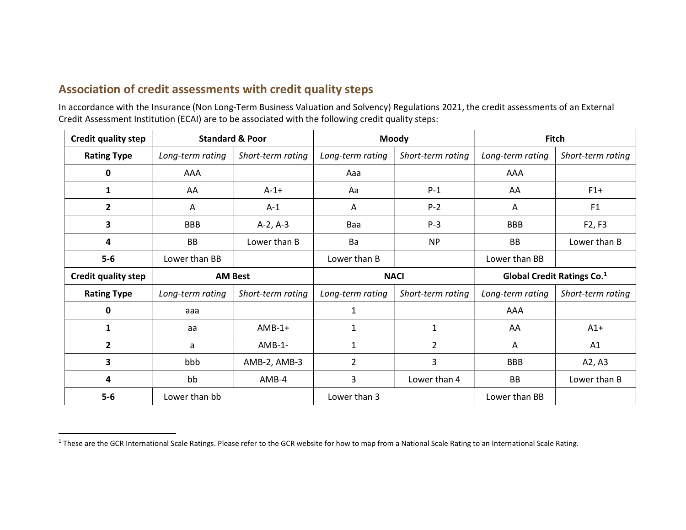## Association of credit assessments with credit quality steps

In accordance with the Insurance (Non Long-Term Business Valuation and Solvency) Regulations 2021, the credit assessments of an External Credit Assessment Institution (ECAI) are to be associated with the following credit quality steps:

| <b>Credit quality step</b> | <b>Standard &amp; Poor</b> |                   | Moody            |                   | <b>Fitch</b>                           |                   |
|----------------------------|----------------------------|-------------------|------------------|-------------------|----------------------------------------|-------------------|
| <b>Rating Type</b>         | Long-term rating           | Short-term rating | Long-term rating | Short-term rating | Long-term rating                       | Short-term rating |
| 0                          | AAA                        |                   | Aaa              |                   | AAA                                    |                   |
| 1                          | AA                         | $A-1+$            | Aa               | $P-1$             | AA                                     | $F1+$             |
| $\overline{2}$             | A                          | $A-1$             | A                | $P-2$             | A                                      | F <sub>1</sub>    |
| 3                          | <b>BBB</b>                 | $A-2, A-3$        | Baa              | $P-3$             | <b>BBB</b>                             | F2, F3            |
| 4                          | <b>BB</b>                  | Lower than B      | <b>Ba</b>        | <b>NP</b>         | BB                                     | Lower than B      |
| $5-6$                      | Lower than BB              |                   | Lower than B     |                   | Lower than BB                          |                   |
| Credit quality step        | <b>AM Best</b>             |                   | <b>NACI</b>      |                   | Global Credit Ratings Co. <sup>1</sup> |                   |
| <b>Rating Type</b>         | Long-term rating           | Short-term rating | Long-term rating | Short-term rating | Long-term rating                       | Short-term rating |
| 0                          | aaa                        |                   | 1                |                   | AAA                                    |                   |
| $\mathbf{1}$               | aa                         | $AMB-1+$          | $\mathbf{1}$     | $\mathbf{1}$      | AA                                     | $A1+$             |
| $\overline{2}$             | a                          | $AMB-1-$          | $\mathbf{1}$     | $\overline{2}$    | A                                      | A1                |
| 3                          | bbb                        | AMB-2, AMB-3      | $\overline{2}$   | 3                 | <b>BBB</b>                             | A2, A3            |
| 4                          | bb                         | $AMB-4$           | 3                | Lower than 4      | <b>BB</b>                              | Lower than B      |
| $5-6$                      | Lower than bb              |                   | Lower than 3     |                   | Lower than BB                          |                   |

<sup>&</sup>lt;sup>1</sup> These are the GCR International Scale Ratings. Please refer to the GCR website for how to map from a National Scale Rating to an International Scale Rating.